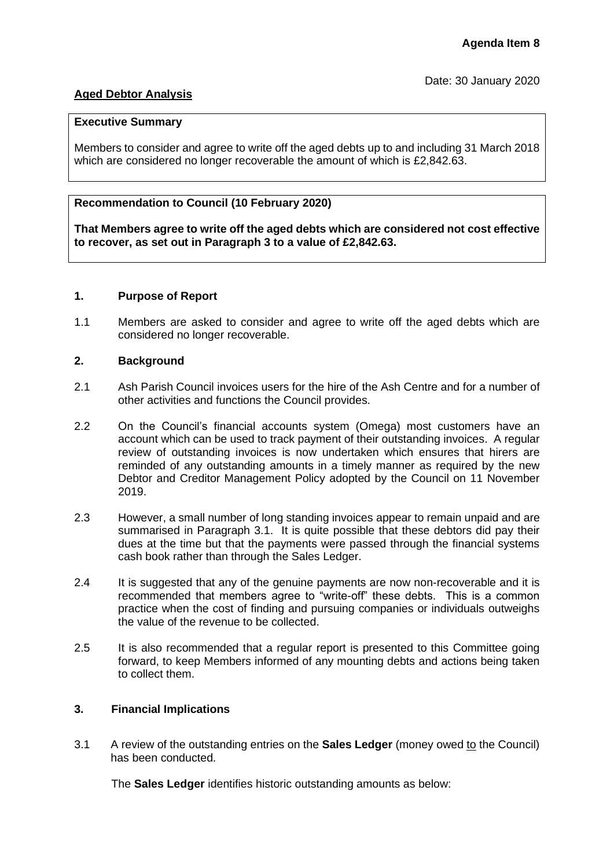# **Aged Debtor Analysis**

### **Executive Summary**

Members to consider and agree to write off the aged debts up to and including 31 March 2018 which are considered no longer recoverable the amount of which is £2,842.63.

# **Recommendation to Council (10 February 2020)**

**That Members agree to write off the aged debts which are considered not cost effective to recover, as set out in Paragraph 3 to a value of £2,842.63.**

## **1. Purpose of Report**

1.1 Members are asked to consider and agree to write off the aged debts which are considered no longer recoverable.

## **2. Background**

- 2.1 Ash Parish Council invoices users for the hire of the Ash Centre and for a number of other activities and functions the Council provides.
- 2.2 On the Council's financial accounts system (Omega) most customers have an account which can be used to track payment of their outstanding invoices. A regular review of outstanding invoices is now undertaken which ensures that hirers are reminded of any outstanding amounts in a timely manner as required by the new Debtor and Creditor Management Policy adopted by the Council on 11 November 2019.
- 2.3 However, a small number of long standing invoices appear to remain unpaid and are summarised in Paragraph 3.1. It is quite possible that these debtors did pay their dues at the time but that the payments were passed through the financial systems cash book rather than through the Sales Ledger.
- 2.4 It is suggested that any of the genuine payments are now non-recoverable and it is recommended that members agree to "write-off" these debts. This is a common practice when the cost of finding and pursuing companies or individuals outweighs the value of the revenue to be collected.
- 2.5 It is also recommended that a regular report is presented to this Committee going forward, to keep Members informed of any mounting debts and actions being taken to collect them.

## **3. Financial Implications**

3.1 A review of the outstanding entries on the **Sales Ledger** (money owed to the Council) has been conducted.

The **Sales Ledger** identifies historic outstanding amounts as below: